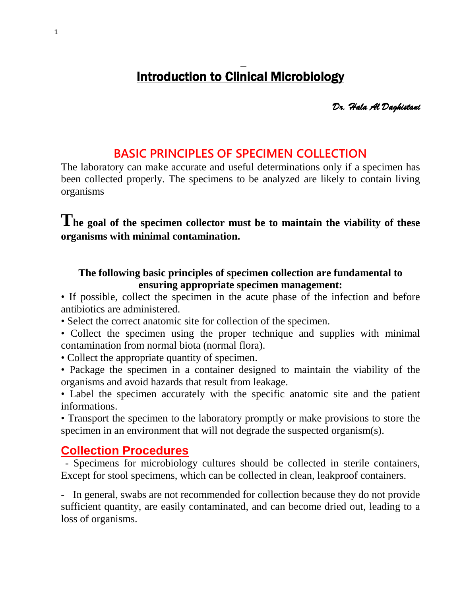# $\overline{a}$ Introduction to Clinical Microbiology

*Dr. Hala Al Daghistani* 

## **BASIC PRINCIPLES OF SPECIMEN COLLECTION**

The laboratory can make accurate and useful determinations only if a specimen has been collected properly. The specimens to be analyzed are likely to contain living organisms

**The goal of the specimen collector must be to maintain the viability of these organisms with minimal contamination.**

#### **The following basic principles of specimen collection are fundamental to ensuring appropriate specimen management:**

• If possible, collect the specimen in the acute phase of the infection and before antibiotics are administered.

• Select the correct anatomic site for collection of the specimen.

• Collect the specimen using the proper technique and supplies with minimal contamination from normal biota (normal flora).

• Collect the appropriate quantity of specimen.

• Package the specimen in a container designed to maintain the viability of the organisms and avoid hazards that result from leakage.

• Label the specimen accurately with the specific anatomic site and the patient informations.

• Transport the specimen to the laboratory promptly or make provisions to store the specimen in an environment that will not degrade the suspected organism(s).

## **Collection Procedures**

- Specimens for microbiology cultures should be collected in sterile containers, Except for stool specimens, which can be collected in clean, leakproof containers.

- In general, swabs are not recommended for collection because they do not provide sufficient quantity, are easily contaminated, and can become dried out, leading to a loss of organisms.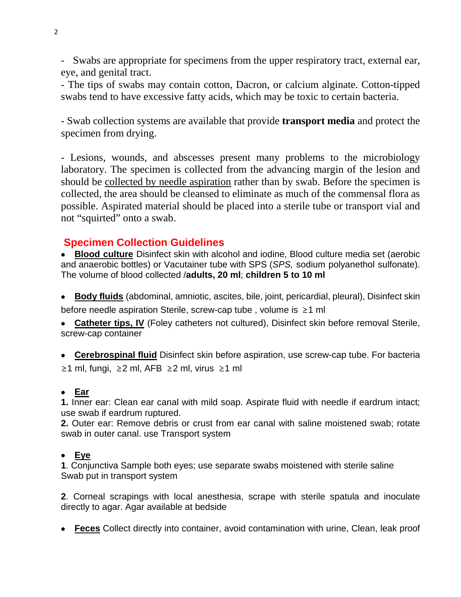- Swabs are appropriate for specimens from the upper respiratory tract, external ear, eye, and genital tract.

- The tips of swabs may contain cotton, Dacron, or calcium alginate. Cotton-tipped swabs tend to have excessive fatty acids, which may be toxic to certain bacteria.

- Swab collection systems are available that provide **transport media** and protect the specimen from drying.

- Lesions, wounds, and abscesses present many problems to the microbiology laboratory. The specimen is collected from the advancing margin of the lesion and should be collected by needle aspiration rather than by swab. Before the specimen is collected, the area should be cleansed to eliminate as much of the commensal flora as possible. Aspirated material should be placed into a sterile tube or transport vial and not "squirted" onto a swab.

## **Specimen Collection Guidelines**

• **Blood culture** Disinfect skin with alcohol and iodine, Blood culture media set (aerobic and anaerobic bottles) or Vacutainer tube with SPS (*SPS,* sodium polyanethol sulfonate). The volume of blood collected /**adults, 20 ml**; **children 5 to 10 ml**

• **Body fluids** (abdominal, amniotic, ascites, bile, joint, pericardial, pleural), Disinfect skin before needle aspiration Sterile, screw-cap tube , volume is ≥1 ml

• **Catheter tips, IV** (Foley catheters not cultured), Disinfect skin before removal Sterile, screw-cap container

• **Cerebrospinal fluid** Disinfect skin before aspiration, use screw-cap tube. For bacteria ≥1 ml, fungi, ≥2 ml, AFB ≥2 ml, virus ≥1 ml

#### • **Ear**

**1.** Inner ear: Clean ear canal with mild soap. Aspirate fluid with needle if eardrum intact; use swab if eardrum ruptured.

**2.** Outer ear: Remove debris or crust from ear canal with saline moistened swab; rotate swab in outer canal. use Transport system

#### • **Eye**

**1**. Conjunctiva Sample both eyes; use separate swabs moistened with sterile saline Swab put in transport system

**2**. Corneal scrapings with local anesthesia, scrape with sterile spatula and inoculate directly to agar. Agar available at bedside

• **Feces** Collect directly into container, avoid contamination with urine, Clean, leak proof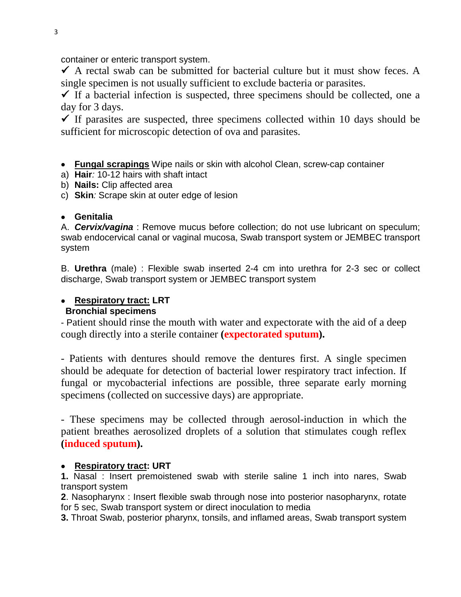container or enteric transport system.

 $\checkmark$  A rectal swab can be submitted for bacterial culture but it must show feces. A single specimen is not usually sufficient to exclude bacteria or parasites.

 $\checkmark$  If a bacterial infection is suspected, three specimens should be collected, one a day for 3 days.

If parasites are suspected, three specimens collected within 10 days should be sufficient for microscopic detection of ova and parasites.

• **Fungal scrapings** Wipe nails or skin with alcohol Clean, screw-cap container

- a) **Hair***:* 10-12 hairs with shaft intact
- b) **Nails:** Clip affected area
- c) **Skin***:* Scrape skin at outer edge of lesion

#### • **Genitalia**

A. *Cervix/vagina* : Remove mucus before collection; do not use lubricant on speculum; swab endocervical canal or vaginal mucosa, Swab transport system or JEMBEC transport system

B. **Urethra** (male) : Flexible swab inserted 2-4 cm into urethra for 2-3 sec or collect discharge, Swab transport system or JEMBEC transport system

#### • **Respiratory tract: LRT Bronchial specimens**

- Patient should rinse the mouth with water and expectorate with the aid of a deep cough directly into a sterile container **(expectorated sputum).**

- Patients with dentures should remove the dentures first. A single specimen should be adequate for detection of bacterial lower respiratory tract infection. If fungal or mycobacterial infections are possible, three separate early morning specimens (collected on successive days) are appropriate.

- These specimens may be collected through aerosol-induction in which the patient breathes aerosolized droplets of a solution that stimulates cough reflex **(induced sputum).**

#### • **Respiratory tract: URT**

**1.** Nasal : Insert premoistened swab with sterile saline 1 inch into nares, Swab transport system

**2**. Nasopharynx : Insert flexible swab through nose into posterior nasopharynx, rotate for 5 sec, Swab transport system or direct inoculation to media

**3.** Throat Swab, posterior pharynx, tonsils, and inflamed areas, Swab transport system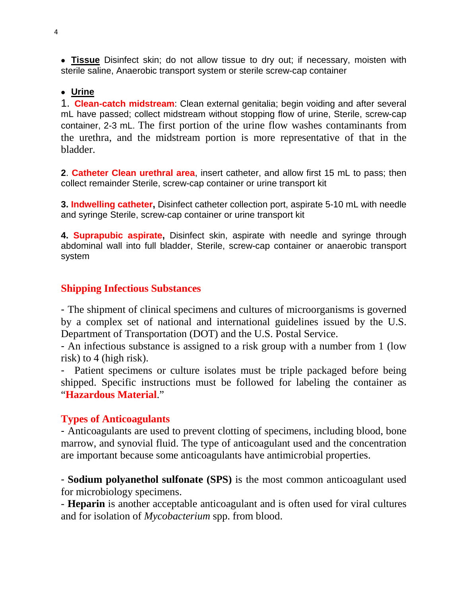• **Tissue** Disinfect skin; do not allow tissue to dry out; if necessary, moisten with sterile saline, Anaerobic transport system or sterile screw-cap container

#### • **Urine**

1. **Clean-catch midstream**: Clean external genitalia; begin voiding and after several mL have passed; collect midstream without stopping flow of urine, Sterile, screw-cap container, 2-3 mL. The first portion of the urine flow washes contaminants from the urethra, and the midstream portion is more representative of that in the bladder.

**2**. **Catheter Clean urethral area**, insert catheter, and allow first 15 mL to pass; then collect remainder Sterile, screw-cap container or urine transport kit

**3. Indwelling catheter,** Disinfect catheter collection port, aspirate 5-10 mL with needle and syringe Sterile, screw-cap container or urine transport kit

**4. Suprapubic aspirate,** Disinfect skin, aspirate with needle and syringe through abdominal wall into full bladder, Sterile, screw-cap container or anaerobic transport system

## **Shipping Infectious Substances**

- The shipment of clinical specimens and cultures of microorganisms is governed by a complex set of national and international guidelines issued by the U.S. Department of Transportation (DOT) and the U.S. Postal Service.

- An infectious substance is assigned to a risk group with a number from 1 (low risk) to 4 (high risk).

- Patient specimens or culture isolates must be triple packaged before being shipped. Specific instructions must be followed for labeling the container as "**Hazardous Material**."

## **Types of Anticoagulants**

- Anticoagulants are used to prevent clotting of specimens, including blood, bone marrow, and synovial fluid. The type of anticoagulant used and the concentration are important because some anticoagulants have antimicrobial properties.

- **Sodium polyanethol sulfonate (SPS)** is the most common anticoagulant used for microbiology specimens.

- **Heparin** is another acceptable anticoagulant and is often used for viral cultures and for isolation of *Mycobacterium* spp. from blood.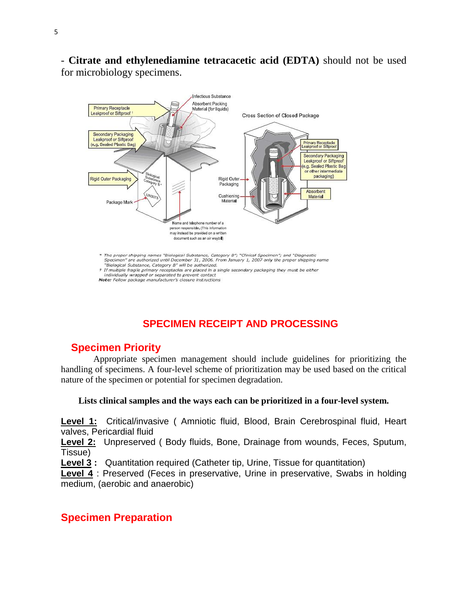- **Citrate and ethylenediamine tetracacetic acid (EDTA)** should not be used for microbiology specimens.



## **SPECIMEN RECEIPT AND PROCESSING**

## **Specimen Priority**

 Appropriate specimen management should include guidelines for prioritizing the handling of specimens. A four-level scheme of prioritization may be used based on the critical nature of the specimen or potential for specimen degradation.

#### **Lists clinical samples and the ways each can be prioritized in a four-level system.**

**Level 1:** Critical/invasive ( Amniotic fluid, Blood, Brain Cerebrospinal fluid, Heart valves, Pericardial fluid

**Level 2:** Unpreserved ( Body fluids, Bone, Drainage from wounds, Feces, Sputum, Tissue)

**Level 3 :** Quantitation required (Catheter tip, Urine, Tissue for quantitation)

**Level 4** : Preserved (Feces in preservative, Urine in preservative, Swabs in holding medium, (aerobic and anaerobic)

## **Specimen Preparation**